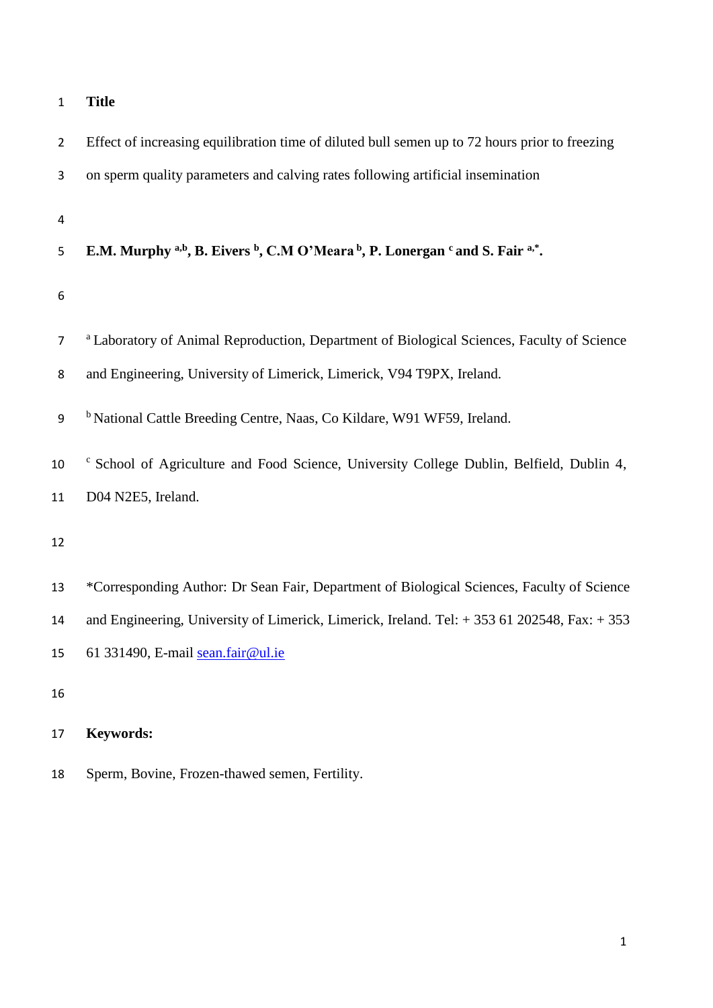| $\mathbf{1}$     | <b>Title</b>                                                                                          |
|------------------|-------------------------------------------------------------------------------------------------------|
| $\overline{2}$   | Effect of increasing equilibration time of diluted bull semen up to 72 hours prior to freezing        |
| 3                | on sperm quality parameters and calving rates following artificial insemination                       |
| 4                |                                                                                                       |
| 5                | E.M. Murphy a,b, B. Eivers b, C.M O'Meara b, P. Lonergan c and S. Fair a,*.                           |
| 6                |                                                                                                       |
| $\overline{7}$   | <sup>a</sup> Laboratory of Animal Reproduction, Department of Biological Sciences, Faculty of Science |
| 8                | and Engineering, University of Limerick, Limerick, V94 T9PX, Ireland.                                 |
| $\boldsymbol{9}$ | <sup>b</sup> National Cattle Breeding Centre, Naas, Co Kildare, W91 WF59, Ireland.                    |
| 10               | <sup>c</sup> School of Agriculture and Food Science, University College Dublin, Belfield, Dublin 4,   |
| 11               | D04 N2E5, Ireland.                                                                                    |
| 12               |                                                                                                       |
| 13               | *Corresponding Author: Dr Sean Fair, Department of Biological Sciences, Faculty of Science            |
| 14               | and Engineering, University of Limerick, Limerick, Ireland. Tel: $+ 35361202548$ , Fax: $+ 353$       |
| 15               | 61 331490, E-mail sean.fair@ul.ie                                                                     |
| 16               |                                                                                                       |
| 17               | <b>Keywords:</b>                                                                                      |
| 18               | Sperm, Bovine, Frozen-thawed semen, Fertility.                                                        |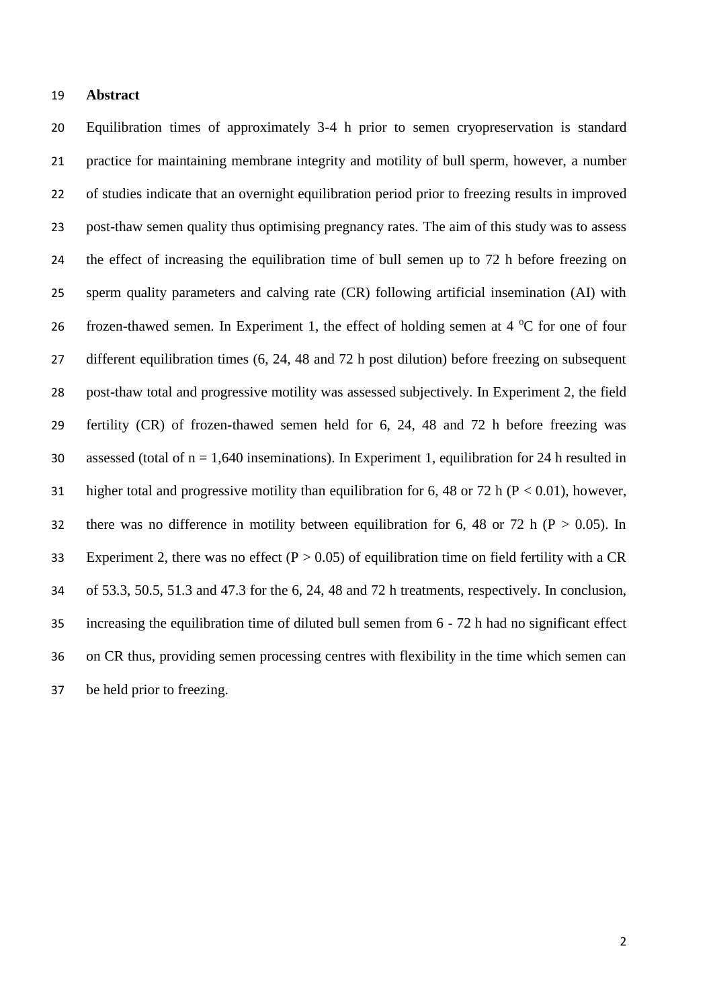#### **Abstract**

 Equilibration times of approximately 3-4 h prior to semen cryopreservation is standard practice for maintaining membrane integrity and motility of bull sperm, however, a number of studies indicate that an overnight equilibration period prior to freezing results in improved post-thaw semen quality thus optimising pregnancy rates. The aim of this study was to assess the effect of increasing the equilibration time of bull semen up to 72 h before freezing on sperm quality parameters and calving rate (CR) following artificial insemination (AI) with 26 frozen-thawed semen. In Experiment 1, the effect of holding semen at 4  $^{\circ}$ C for one of four different equilibration times (6, 24, 48 and 72 h post dilution) before freezing on subsequent post-thaw total and progressive motility was assessed subjectively. In Experiment 2, the field fertility (CR) of frozen-thawed semen held for 6, 24, 48 and 72 h before freezing was 30 assessed (total of  $n = 1,640$  inseminations). In Experiment 1, equilibration for 24 h resulted in 31 higher total and progressive motility than equilibration for 6, 48 or 72 h ( $P < 0.01$ ), however, 32 there was no difference in motility between equilibration for 6, 48 or 72 h ( $P > 0.05$ ). In 33 Experiment 2, there was no effect ( $P > 0.05$ ) of equilibration time on field fertility with a CR of 53.3, 50.5, 51.3 and 47.3 for the 6, 24, 48 and 72 h treatments, respectively. In conclusion, increasing the equilibration time of diluted bull semen from 6 - 72 h had no significant effect on CR thus, providing semen processing centres with flexibility in the time which semen can be held prior to freezing.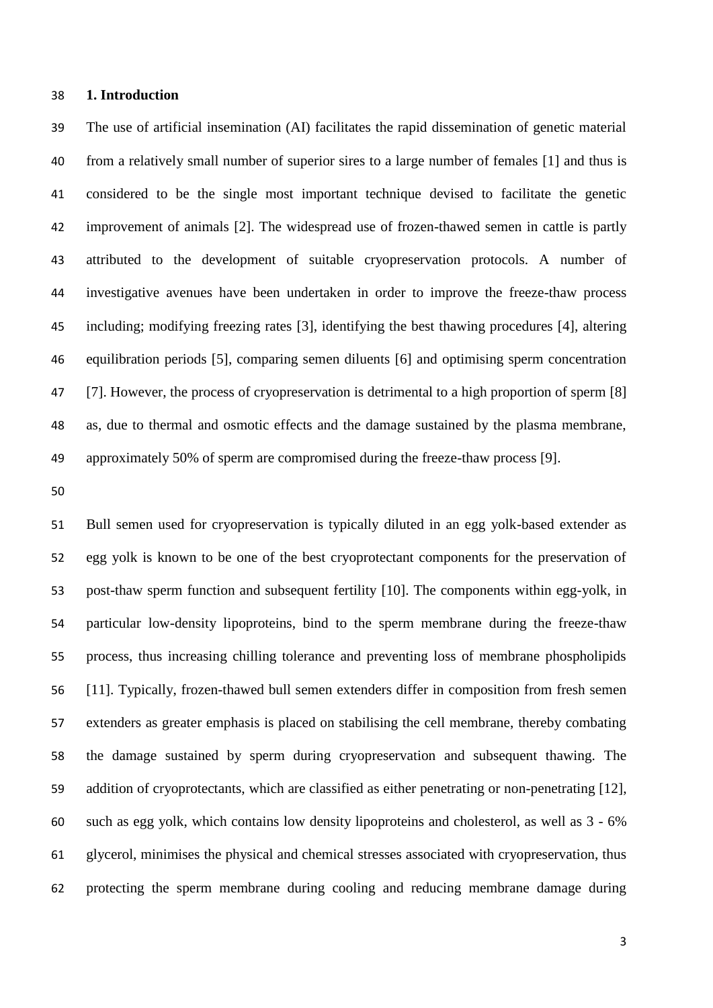#### **1. Introduction**

 The use of artificial insemination (AI) facilitates the rapid dissemination of genetic material from a relatively small number of superior sires to a large number of females [1] and thus is considered to be the single most important technique devised to facilitate the genetic improvement of animals [2]. The widespread use of frozen-thawed semen in cattle is partly attributed to the development of suitable cryopreservation protocols. A number of investigative avenues have been undertaken in order to improve the freeze-thaw process including; modifying freezing rates [3], identifying the best thawing procedures [4], altering equilibration periods [5], comparing semen diluents [6] and optimising sperm concentration [7]. However, the process of cryopreservation is detrimental to a high proportion of sperm [8] as, due to thermal and osmotic effects and the damage sustained by the plasma membrane, approximately 50% of sperm are compromised during the freeze-thaw process [9].

 Bull semen used for cryopreservation is typically diluted in an egg yolk-based extender as egg yolk is known to be one of the best cryoprotectant components for the preservation of post-thaw sperm function and subsequent fertility [10]. The components within egg-yolk, in particular low-density lipoproteins, bind to the sperm membrane during the freeze-thaw process, thus increasing chilling tolerance and preventing loss of membrane phospholipids [11]. Typically, frozen-thawed bull semen extenders differ in composition from fresh semen extenders as greater emphasis is placed on stabilising the cell membrane, thereby combating the damage sustained by sperm during cryopreservation and subsequent thawing. The addition of cryoprotectants, which are classified as either penetrating or non-penetrating [12], such as egg yolk, which contains low density lipoproteins and cholesterol, as well as 3 - 6% glycerol, minimises the physical and chemical stresses associated with cryopreservation, thus protecting the sperm membrane during cooling and reducing membrane damage during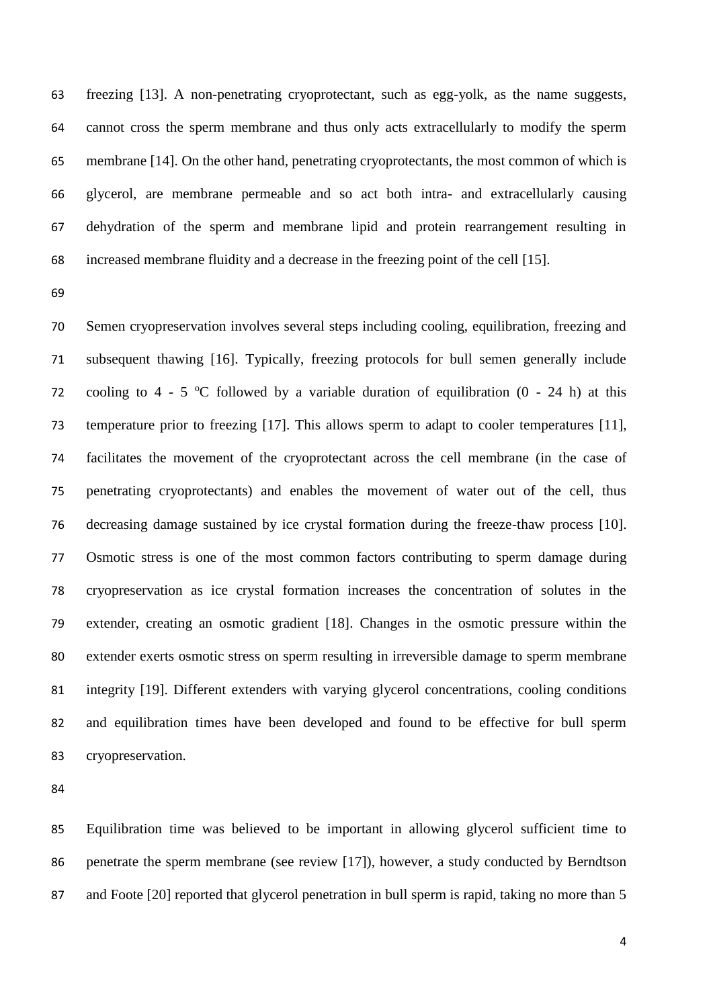freezing [13]. A non-penetrating cryoprotectant, such as egg-yolk, as the name suggests, cannot cross the sperm membrane and thus only acts extracellularly to modify the sperm membrane [14]. On the other hand, penetrating cryoprotectants, the most common of which is glycerol, are membrane permeable and so act both intra- and extracellularly causing dehydration of the sperm and membrane lipid and protein rearrangement resulting in increased membrane fluidity and a decrease in the freezing point of the cell [15].

 Semen cryopreservation involves several steps including cooling, equilibration, freezing and subsequent thawing [16]. Typically, freezing protocols for bull semen generally include 72 cooling to 4 - 5 °C followed by a variable duration of equilibration  $(0 - 24 h)$  at this temperature prior to freezing [17]. This allows sperm to adapt to cooler temperatures [11], facilitates the movement of the cryoprotectant across the cell membrane (in the case of penetrating cryoprotectants) and enables the movement of water out of the cell, thus decreasing damage sustained by ice crystal formation during the freeze-thaw process [10]. Osmotic stress is one of the most common factors contributing to sperm damage during cryopreservation as ice crystal formation increases the concentration of solutes in the extender, creating an osmotic gradient [18]. Changes in the osmotic pressure within the extender exerts osmotic stress on sperm resulting in irreversible damage to sperm membrane integrity [19]. Different extenders with varying glycerol concentrations, cooling conditions and equilibration times have been developed and found to be effective for bull sperm cryopreservation.

 Equilibration time was believed to be important in allowing glycerol sufficient time to penetrate the sperm membrane (see review [17]), however, a study conducted by Berndtson and Foote [20] reported that glycerol penetration in bull sperm is rapid, taking no more than 5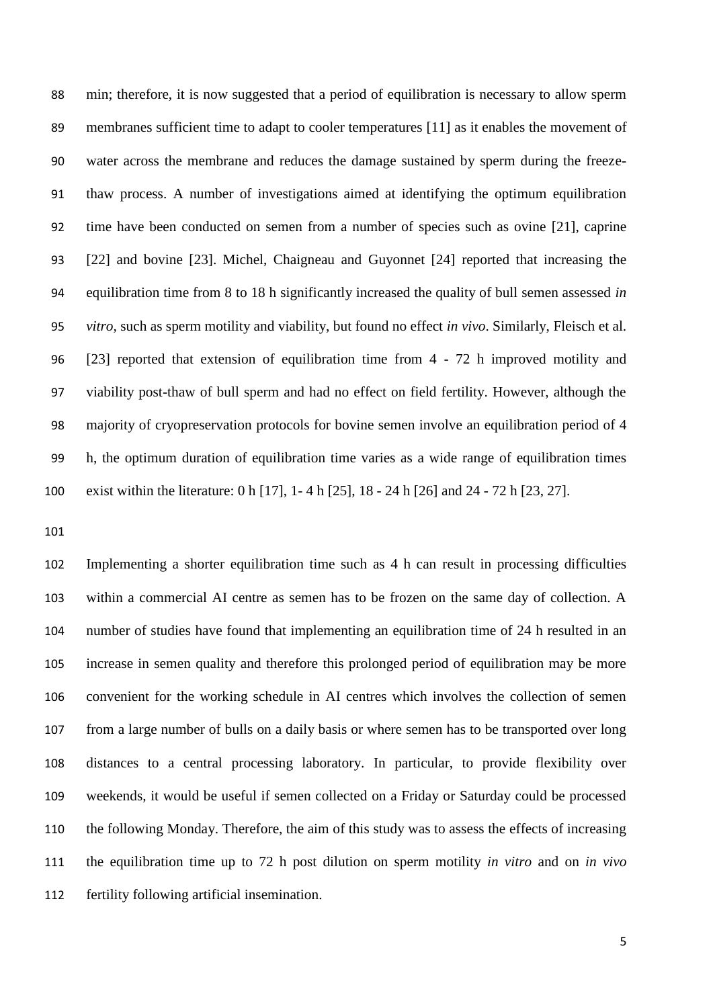min; therefore, it is now suggested that a period of equilibration is necessary to allow sperm membranes sufficient time to adapt to cooler temperatures [11] as it enables the movement of water across the membrane and reduces the damage sustained by sperm during the freeze- thaw process. A number of investigations aimed at identifying the optimum equilibration time have been conducted on semen from a number of species such as ovine [21], caprine [22] and bovine [23]. Michel, Chaigneau and Guyonnet [24] reported that increasing the equilibration time from 8 to 18 h significantly increased the quality of bull semen assessed *in vitro,* such as sperm motility and viability, but found no effect *in vivo*. Similarly, Fleisch et al. [23] reported that extension of equilibration time from 4 - 72 h improved motility and viability post-thaw of bull sperm and had no effect on field fertility. However, although the majority of cryopreservation protocols for bovine semen involve an equilibration period of 4 h, the optimum duration of equilibration time varies as a wide range of equilibration times exist within the literature: 0 h [17], 1- 4 h [25], 18 - 24 h [26] and 24 - 72 h [23, 27].

 Implementing a shorter equilibration time such as 4 h can result in processing difficulties within a commercial AI centre as semen has to be frozen on the same day of collection. A number of studies have found that implementing an equilibration time of 24 h resulted in an increase in semen quality and therefore this prolonged period of equilibration may be more convenient for the working schedule in AI centres which involves the collection of semen from a large number of bulls on a daily basis or where semen has to be transported over long distances to a central processing laboratory. In particular, to provide flexibility over weekends, it would be useful if semen collected on a Friday or Saturday could be processed the following Monday. Therefore, the aim of this study was to assess the effects of increasing the equilibration time up to 72 h post dilution on sperm motility *in vitro* and on *in vivo* fertility following artificial insemination.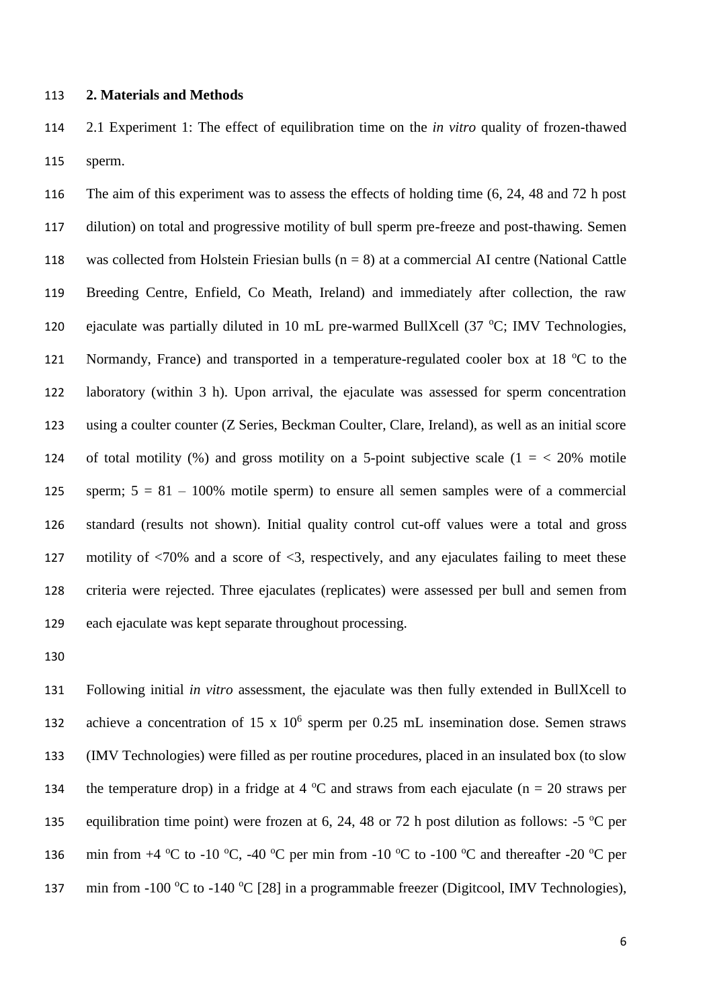#### **2. Materials and Methods**

 2.1 Experiment 1: The effect of equilibration time on the *in vitro* quality of frozen-thawed sperm.

 The aim of this experiment was to assess the effects of holding time (6, 24, 48 and 72 h post dilution) on total and progressive motility of bull sperm pre-freeze and post-thawing. Semen 118 was collected from Holstein Friesian bulls  $(n = 8)$  at a commercial AI centre (National Cattle Breeding Centre, Enfield, Co Meath, Ireland) and immediately after collection, the raw 120 ejaculate was partially diluted in 10 mL pre-warmed BullXcell (37 °C; IMV Technologies, 121 Normandy, France) and transported in a temperature-regulated cooler box at 18  $^{\circ}$ C to the laboratory (within 3 h). Upon arrival, the ejaculate was assessed for sperm concentration using a coulter counter (Z Series, Beckman Coulter, Clare, Ireland), as well as an initial score 124 of total motility (%) and gross motility on a 5-point subjective scale ( $1 = \langle 20\%$ ) motile 125 sperm;  $5 = 81 - 100\%$  motile sperm) to ensure all semen samples were of a commercial standard (results not shown). Initial quality control cut-off values were a total and gross motility of <70% and a score of <3, respectively, and any ejaculates failing to meet these criteria were rejected. Three ejaculates (replicates) were assessed per bull and semen from each ejaculate was kept separate throughout processing.

 Following initial *in vitro* assessment, the ejaculate was then fully extended in BullXcell to 132 achieve a concentration of 15 x  $10^6$  sperm per 0.25 mL insemination dose. Semen straws (IMV Technologies) were filled as per routine procedures, placed in an insulated box (to slow 134 the temperature drop) in a fridge at 4  $\degree$ C and straws from each ejaculate (n = 20 straws per 135 equilibration time point) were frozen at 6, 24, 48 or 72 h post dilution as follows: -5 °C per 136 min from  $+4$  °C to -10 °C, -40 °C per min from -10 °C to -100 °C and thereafter -20 °C per 137 min from -100 °C to -140 °C [28] in a programmable freezer (Digitcool, IMV Technologies),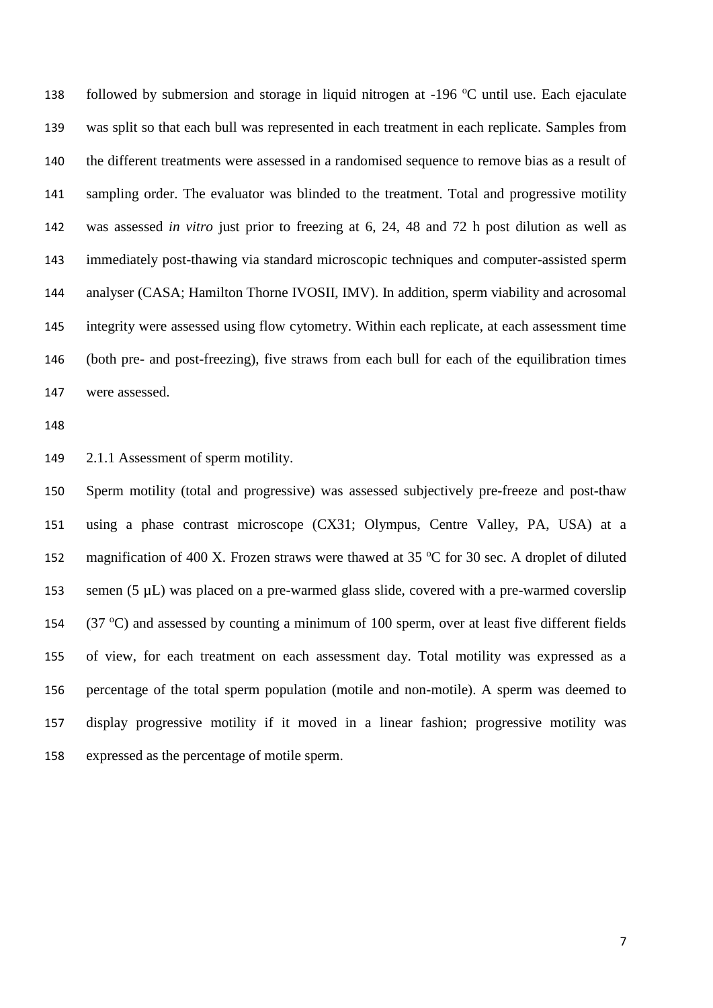138 followed by submersion and storage in liquid nitrogen at -196  $°C$  until use. Each ejaculate was split so that each bull was represented in each treatment in each replicate. Samples from the different treatments were assessed in a randomised sequence to remove bias as a result of 141 sampling order. The evaluator was blinded to the treatment. Total and progressive motility was assessed *in vitro* just prior to freezing at 6, 24, 48 and 72 h post dilution as well as immediately post-thawing via standard microscopic techniques and computer-assisted sperm analyser (CASA; Hamilton Thorne IVOSII, IMV). In addition, sperm viability and acrosomal integrity were assessed using flow cytometry. Within each replicate, at each assessment time (both pre- and post-freezing), five straws from each bull for each of the equilibration times were assessed.

2.1.1 Assessment of sperm motility.

 Sperm motility (total and progressive) was assessed subjectively pre-freeze and post-thaw using a phase contrast microscope (CX31; Olympus, Centre Valley, PA, USA) at a 152 magnification of 400 X. Frozen straws were thawed at 35  $\degree$ C for 30 sec. A droplet of diluted 153 semen  $(5 \mu L)$  was placed on a pre-warmed glass slide, covered with a pre-warmed coverslip 154 (37 °C) and assessed by counting a minimum of 100 sperm, over at least five different fields of view, for each treatment on each assessment day. Total motility was expressed as a percentage of the total sperm population (motile and non-motile). A sperm was deemed to display progressive motility if it moved in a linear fashion; progressive motility was expressed as the percentage of motile sperm.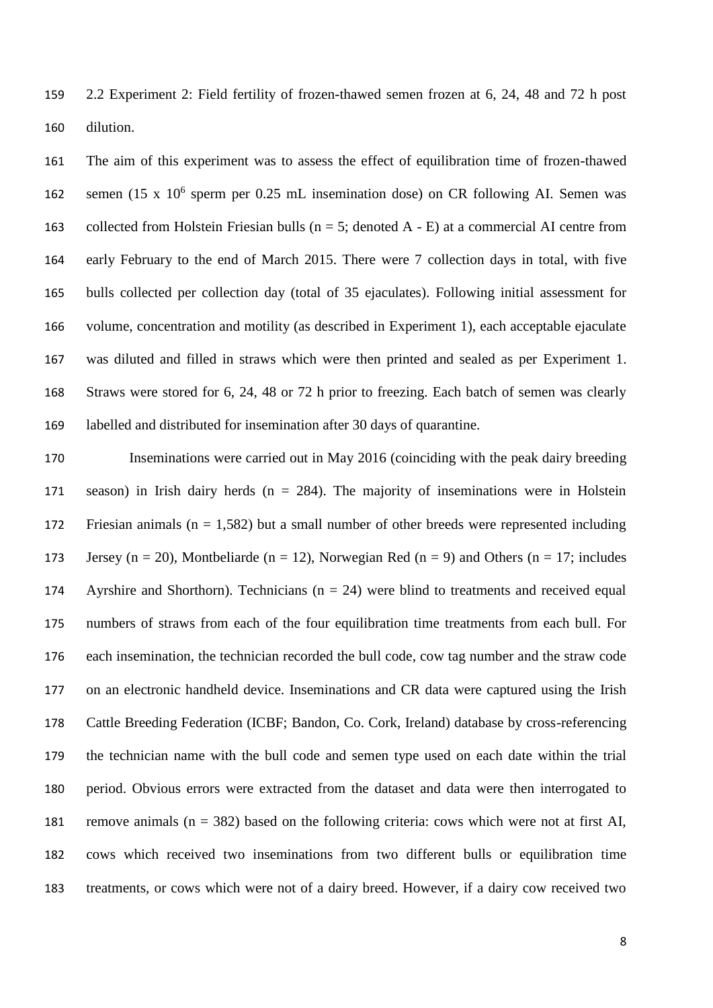2.2 Experiment 2: Field fertility of frozen-thawed semen frozen at 6, 24, 48 and 72 h post dilution.

 The aim of this experiment was to assess the effect of equilibration time of frozen-thawed 162 semen (15 x 10<sup>6</sup> sperm per 0.25 mL insemination dose) on CR following AI. Semen was 163 collected from Holstein Friesian bulls ( $n = 5$ ; denoted A - E) at a commercial AI centre from early February to the end of March 2015. There were 7 collection days in total, with five bulls collected per collection day (total of 35 ejaculates). Following initial assessment for volume, concentration and motility (as described in Experiment 1), each acceptable ejaculate was diluted and filled in straws which were then printed and sealed as per Experiment 1. Straws were stored for 6, 24, 48 or 72 h prior to freezing. Each batch of semen was clearly labelled and distributed for insemination after 30 days of quarantine.

 Inseminations were carried out in May 2016 (coinciding with the peak dairy breeding season) in Irish dairy herds (n = 284). The majority of inseminations were in Holstein 172 Friesian animals ( $n = 1,582$ ) but a small number of other breeds were represented including 173 Jersey (n = 20), Montbeliarde (n = 12), Norwegian Red (n = 9) and Others (n = 17; includes 174 Ayrshire and Shorthorn). Technicians ( $n = 24$ ) were blind to treatments and received equal numbers of straws from each of the four equilibration time treatments from each bull. For each insemination, the technician recorded the bull code, cow tag number and the straw code on an electronic handheld device. Inseminations and CR data were captured using the Irish Cattle Breeding Federation (ICBF; Bandon, Co. Cork, Ireland) database by cross-referencing the technician name with the bull code and semen type used on each date within the trial period. Obvious errors were extracted from the dataset and data were then interrogated to remove animals (n = 382) based on the following criteria: cows which were not at first AI, cows which received two inseminations from two different bulls or equilibration time treatments, or cows which were not of a dairy breed. However, if a dairy cow received two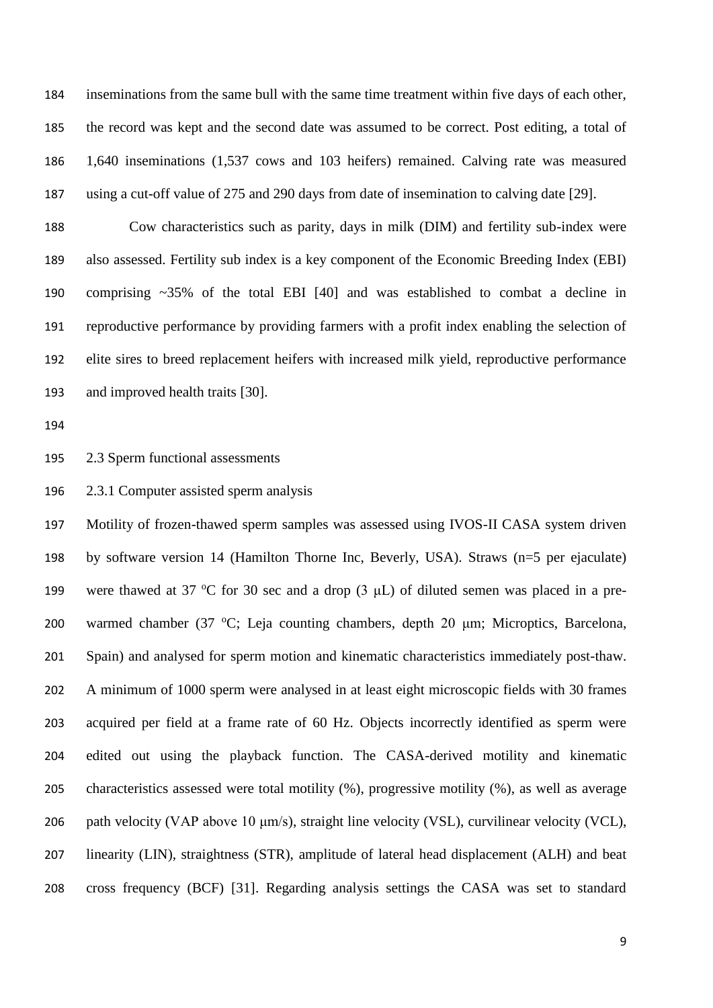inseminations from the same bull with the same time treatment within five days of each other, the record was kept and the second date was assumed to be correct. Post editing, a total of 1,640 inseminations (1,537 cows and 103 heifers) remained. Calving rate was measured using a cut-off value of 275 and 290 days from date of insemination to calving date [29].

 Cow characteristics such as parity, days in milk (DIM) and fertility sub-index were also assessed. Fertility sub index is a key component of the Economic Breeding Index (EBI) comprising ~35% of the total EBI [40] and was established to combat a decline in reproductive performance by providing farmers with a profit index enabling the selection of elite sires to breed replacement heifers with increased milk yield, reproductive performance and improved health traits [30].

2.3 Sperm functional assessments

2.3.1 Computer assisted sperm analysis

 Motility of frozen-thawed sperm samples was assessed using IVOS-II CASA system driven by software version 14 (Hamilton Thorne Inc, Beverly, USA). Straws (n=5 per ejaculate) 199 were thawed at 37 °C for 30 sec and a drop (3  $\mu$ L) of diluted semen was placed in a pre-200 warmed chamber (37 °C; Leja counting chambers, depth 20 μm; Microptics, Barcelona, Spain) and analysed for sperm motion and kinematic characteristics immediately post-thaw. A minimum of 1000 sperm were analysed in at least eight microscopic fields with 30 frames acquired per field at a frame rate of 60 Hz. Objects incorrectly identified as sperm were edited out using the playback function. The CASA-derived motility and kinematic characteristics assessed were total motility (%), progressive motility (%), as well as average path velocity (VAP above 10 μm/s), straight line velocity (VSL), curvilinear velocity (VCL), linearity (LIN), straightness (STR), amplitude of lateral head displacement (ALH) and beat cross frequency (BCF) [31]. Regarding analysis settings the CASA was set to standard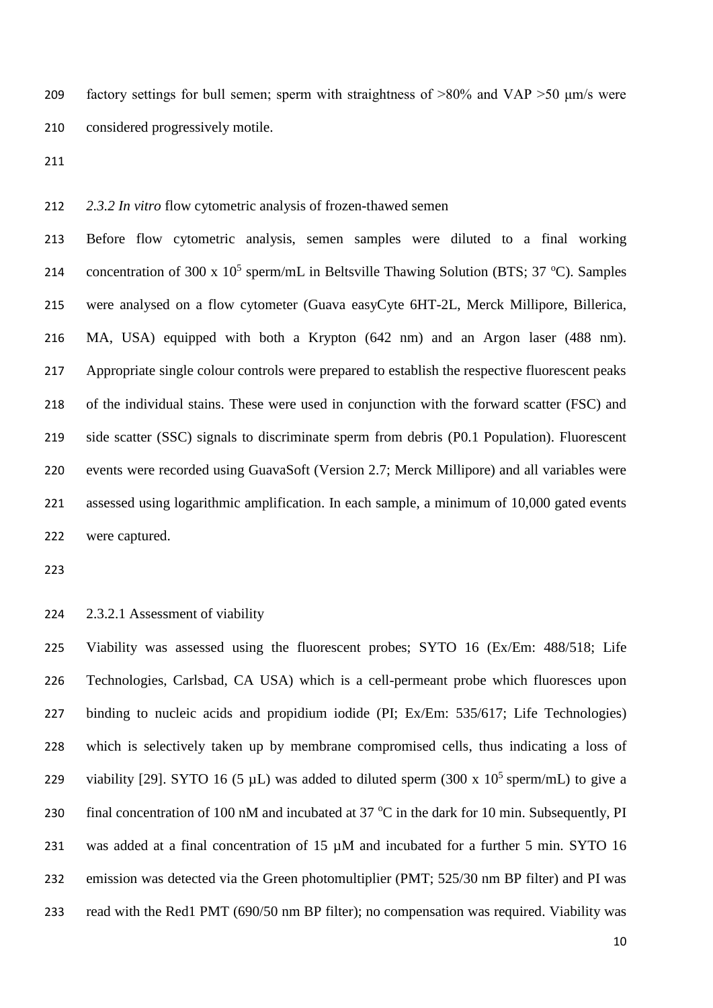factory settings for bull semen; sperm with straightness of >80% and VAP >50 μm/s were considered progressively motile.

*2.3.2 In vitro* flow cytometric analysis of frozen-thawed semen

 Before flow cytometric analysis, semen samples were diluted to a final working 214 concentration of 300 x  $10^5$  sperm/mL in Beltsville Thawing Solution (BTS; 37 °C). Samples were analysed on a flow cytometer (Guava easyCyte 6HT-2L, Merck Millipore, Billerica, MA, USA) equipped with both a Krypton (642 nm) and an Argon laser (488 nm). Appropriate single colour controls were prepared to establish the respective fluorescent peaks of the individual stains. These were used in conjunction with the forward scatter (FSC) and side scatter (SSC) signals to discriminate sperm from debris (P0.1 Population). Fluorescent events were recorded using GuavaSoft (Version 2.7; Merck Millipore) and all variables were assessed using logarithmic amplification. In each sample, a minimum of 10,000 gated events were captured.

2.3.2.1 Assessment of viability

 Viability was assessed using the fluorescent probes; SYTO 16 (Ex/Em: 488/518; Life Technologies, Carlsbad, CA USA) which is a cell-permeant probe which fluoresces upon binding to nucleic acids and propidium iodide (PI; Ex/Em: 535/617; Life Technologies) which is selectively taken up by membrane compromised cells, thus indicating a loss of 229 viability [29]. SYTO 16 (5  $\mu$ L) was added to diluted sperm (300 x 10<sup>5</sup> sperm/mL) to give a 230 final concentration of 100 nM and incubated at 37  $\mathrm{^{\circ}C}$  in the dark for 10 min. Subsequently, PI 231 was added at a final concentration of 15  $\mu$ M and incubated for a further 5 min. SYTO 16 emission was detected via the Green photomultiplier (PMT; 525/30 nm BP filter) and PI was read with the Red1 PMT (690/50 nm BP filter); no compensation was required. Viability was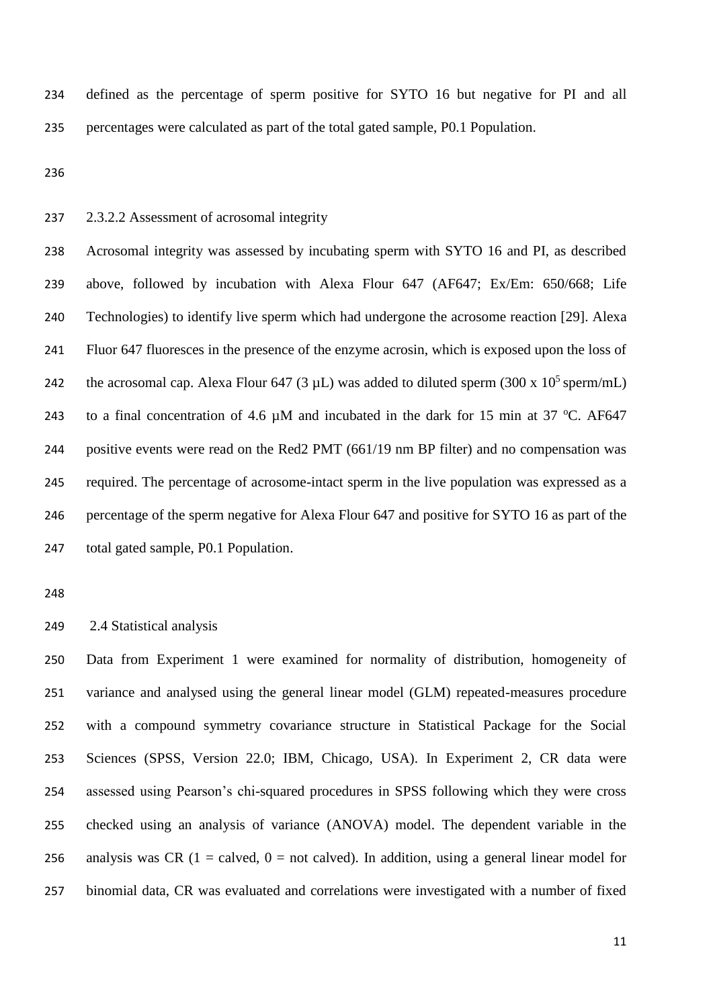defined as the percentage of sperm positive for SYTO 16 but negative for PI and all percentages were calculated as part of the total gated sample, P0.1 Population.

2.3.2.2 Assessment of acrosomal integrity

 Acrosomal integrity was assessed by incubating sperm with SYTO 16 and PI, as described above, followed by incubation with Alexa Flour 647 (AF647; Ex/Em: 650/668; Life Technologies) to identify live sperm which had undergone the acrosome reaction [29]. Alexa Fluor 647 fluoresces in the presence of the enzyme acrosin, which is exposed upon the loss of 242 the acrosomal cap. Alexa Flour 647 (3  $\mu$ L) was added to diluted sperm (300 x 10<sup>5</sup> sperm/mL) 243 to a final concentration of 4.6  $\mu$ M and incubated in the dark for 15 min at 37 °C. AF647 positive events were read on the Red2 PMT (661/19 nm BP filter) and no compensation was required. The percentage of acrosome-intact sperm in the live population was expressed as a percentage of the sperm negative for Alexa Flour 647 and positive for SYTO 16 as part of the total gated sample, P0.1 Population.

2.4 Statistical analysis

 Data from Experiment 1 were examined for normality of distribution, homogeneity of variance and analysed using the general linear model (GLM) repeated-measures procedure with a compound symmetry covariance structure in Statistical Package for the Social Sciences (SPSS, Version 22.0; IBM, Chicago, USA). In Experiment 2, CR data were assessed using Pearson's chi-squared procedures in SPSS following which they were cross checked using an analysis of variance (ANOVA) model. The dependent variable in the 256 analysis was CR (1 = calved, 0 = not calved). In addition, using a general linear model for binomial data, CR was evaluated and correlations were investigated with a number of fixed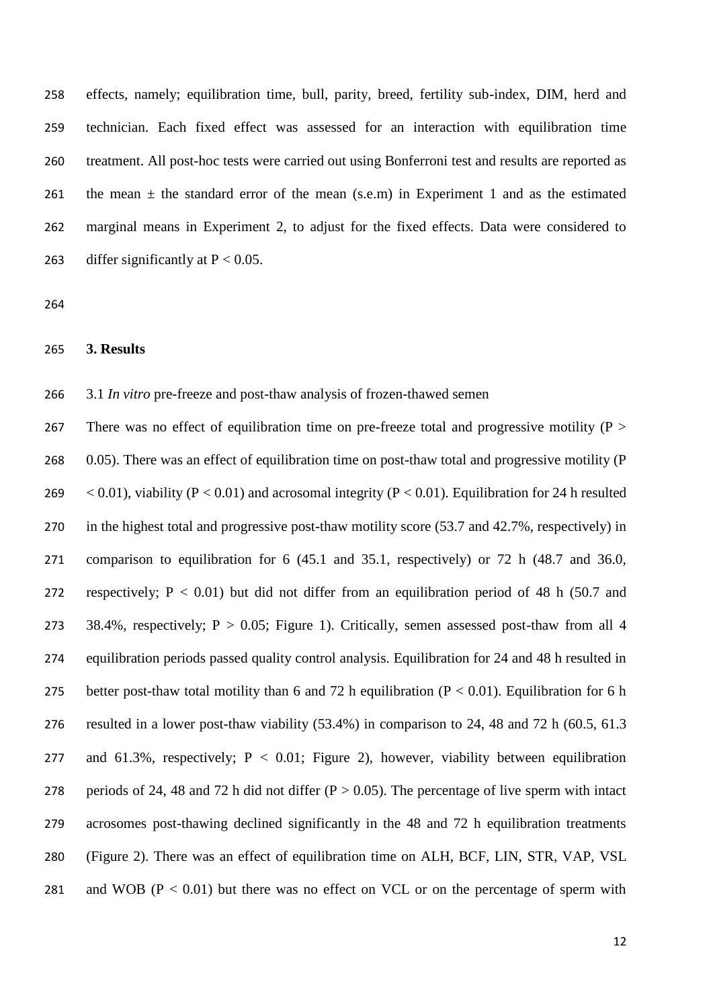effects, namely; equilibration time, bull, parity, breed, fertility sub-index, DIM, herd and technician. Each fixed effect was assessed for an interaction with equilibration time treatment. All post-hoc tests were carried out using Bonferroni test and results are reported as 261 the mean  $\pm$  the standard error of the mean (s.e.m) in Experiment 1 and as the estimated marginal means in Experiment 2, to adjust for the fixed effects. Data were considered to 263 differ significantly at  $P < 0.05$ .

264

# 265 **3. Results**

266 3.1 *In vitro* pre-freeze and post-thaw analysis of frozen-thawed semen

267 There was no effect of equilibration time on pre-freeze total and progressive motility ( $P >$ 268 0.05). There was an effect of equilibration time on post-thaw total and progressive motility (P 269  $\leq$  0.01), viability (P  $\leq$  0.01) and acrosomal integrity (P  $\leq$  0.01). Equilibration for 24 h resulted 270 in the highest total and progressive post-thaw motility score (53.7 and 42.7%, respectively) in 271 comparison to equilibration for 6 (45.1 and 35.1, respectively) or 72 h (48.7 and 36.0, 272 respectively;  $P < 0.01$ ) but did not differ from an equilibration period of 48 h (50.7 and 273 38.4%, respectively;  $P > 0.05$ ; Figure 1). Critically, semen assessed post-thaw from all 4 274 equilibration periods passed quality control analysis. Equilibration for 24 and 48 h resulted in 275 better post-thaw total motility than 6 and 72 h equilibration ( $P < 0.01$ ). Equilibration for 6 h 276 resulted in a lower post-thaw viability (53.4%) in comparison to 24, 48 and 72 h (60.5, 61.3 277 and 61.3%, respectively;  $P < 0.01$ ; Figure 2), however, viability between equilibration 278 periods of 24, 48 and 72 h did not differ  $(P > 0.05)$ . The percentage of live sperm with intact 279 acrosomes post-thawing declined significantly in the 48 and 72 h equilibration treatments 280 (Figure 2). There was an effect of equilibration time on ALH, BCF, LIN, STR, VAP, VSL 281 and WOB ( $P < 0.01$ ) but there was no effect on VCL or on the percentage of sperm with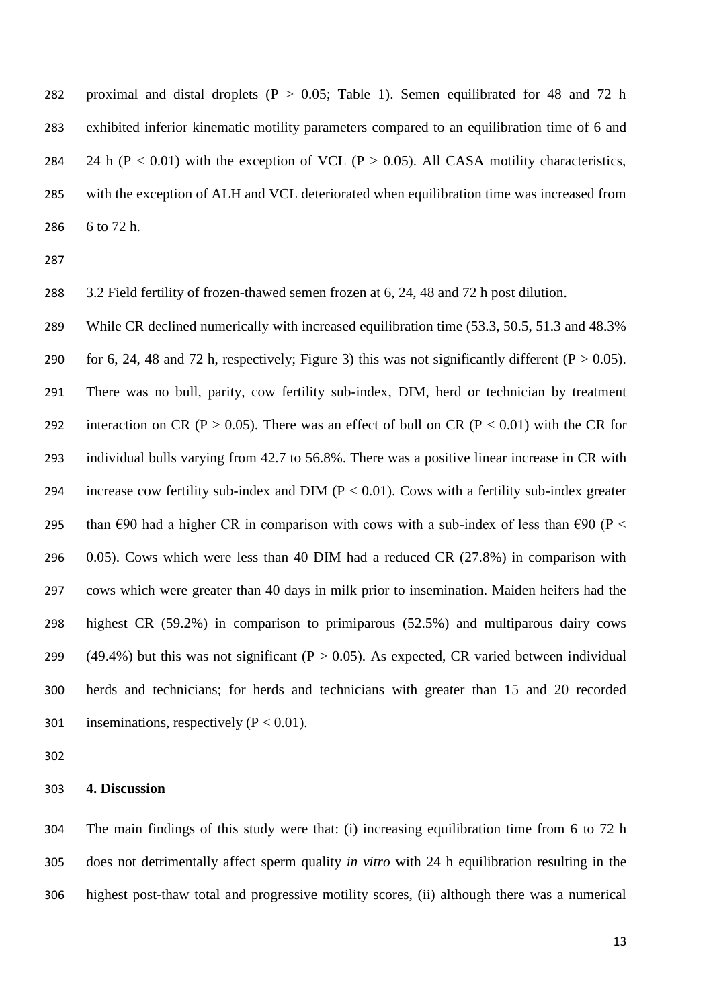282 proximal and distal droplets ( $P > 0.05$ ; Table 1). Semen equilibrated for 48 and 72 h exhibited inferior kinematic motility parameters compared to an equilibration time of 6 and 284 24 h ( $P < 0.01$ ) with the exception of VCL ( $P > 0.05$ ). All CASA motility characteristics, with the exception of ALH and VCL deteriorated when equilibration time was increased from 6 to 72 h.

3.2 Field fertility of frozen-thawed semen frozen at 6, 24, 48 and 72 h post dilution.

 While CR declined numerically with increased equilibration time (53.3, 50.5, 51.3 and 48.3% 290 for 6, 24, 48 and 72 h, respectively; Figure 3) this was not significantly different ( $P > 0.05$ ). There was no bull, parity, cow fertility sub-index, DIM, herd or technician by treatment 292 interaction on CR ( $P > 0.05$ ). There was an effect of bull on CR ( $P < 0.01$ ) with the CR for individual bulls varying from 42.7 to 56.8%. There was a positive linear increase in CR with 294 increase cow fertility sub-index and DIM  $(P < 0.01)$ . Cows with a fertility sub-index greater 295 than  $\epsilon$ 90 had a higher CR in comparison with cows with a sub-index of less than  $\epsilon$ 90 (P < 0.05). Cows which were less than 40 DIM had a reduced CR (27.8%) in comparison with cows which were greater than 40 days in milk prior to insemination. Maiden heifers had the highest CR (59.2%) in comparison to primiparous (52.5%) and multiparous dairy cows 299 (49.4%) but this was not significant ( $P > 0.05$ ). As expected, CR varied between individual herds and technicians; for herds and technicians with greater than 15 and 20 recorded 301 inseminations, respectively  $(P < 0.01)$ .

#### **4. Discussion**

 The main findings of this study were that: (i) increasing equilibration time from 6 to 72 h does not detrimentally affect sperm quality *in vitro* with 24 h equilibration resulting in the highest post-thaw total and progressive motility scores, (ii) although there was a numerical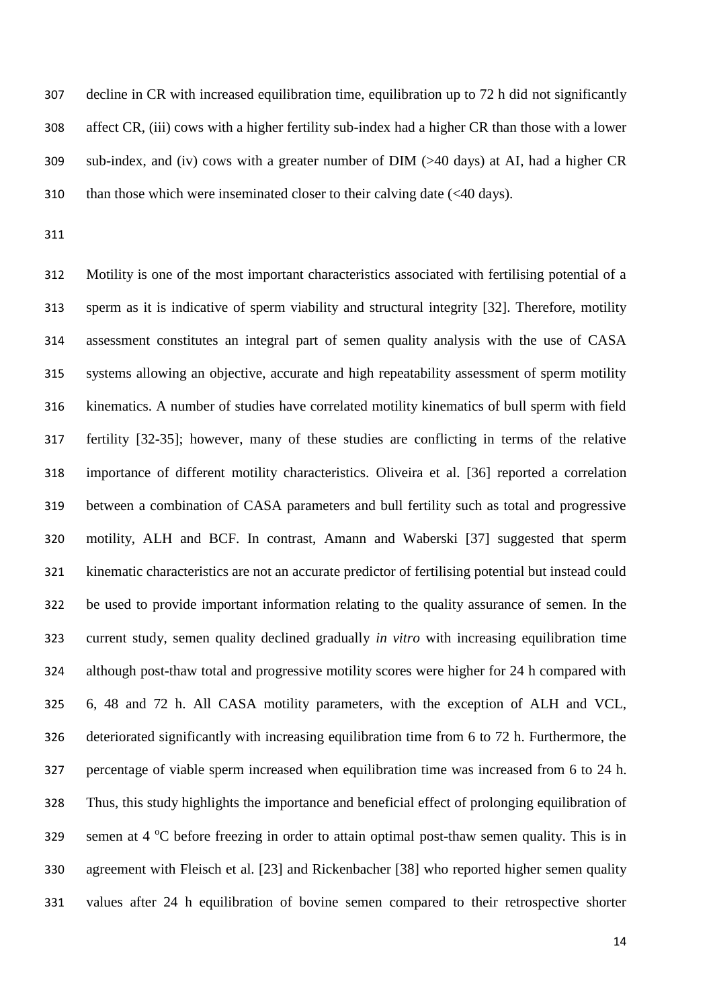decline in CR with increased equilibration time, equilibration up to 72 h did not significantly affect CR, (iii) cows with a higher fertility sub-index had a higher CR than those with a lower sub-index, and (iv) cows with a greater number of DIM (>40 days) at AI, had a higher CR than those which were inseminated closer to their calving date (<40 days).

 Motility is one of the most important characteristics associated with fertilising potential of a sperm as it is indicative of sperm viability and structural integrity [32]. Therefore, motility assessment constitutes an integral part of semen quality analysis with the use of CASA systems allowing an objective, accurate and high repeatability assessment of sperm motility kinematics. A number of studies have correlated motility kinematics of bull sperm with field fertility [32-35]; however, many of these studies are conflicting in terms of the relative importance of different motility characteristics. Oliveira et al. [36] reported a correlation between a combination of CASA parameters and bull fertility such as total and progressive motility, ALH and BCF. In contrast, Amann and Waberski [37] suggested that sperm kinematic characteristics are not an accurate predictor of fertilising potential but instead could be used to provide important information relating to the quality assurance of semen. In the current study, semen quality declined gradually *in vitro* with increasing equilibration time although post-thaw total and progressive motility scores were higher for 24 h compared with 6, 48 and 72 h. All CASA motility parameters, with the exception of ALH and VCL, deteriorated significantly with increasing equilibration time from 6 to 72 h. Furthermore, the percentage of viable sperm increased when equilibration time was increased from 6 to 24 h. Thus, this study highlights the importance and beneficial effect of prolonging equilibration of 329 semen at  $4^{\circ}$ C before freezing in order to attain optimal post-thaw semen quality. This is in agreement with Fleisch et al. [23] and Rickenbacher [38] who reported higher semen quality values after 24 h equilibration of bovine semen compared to their retrospective shorter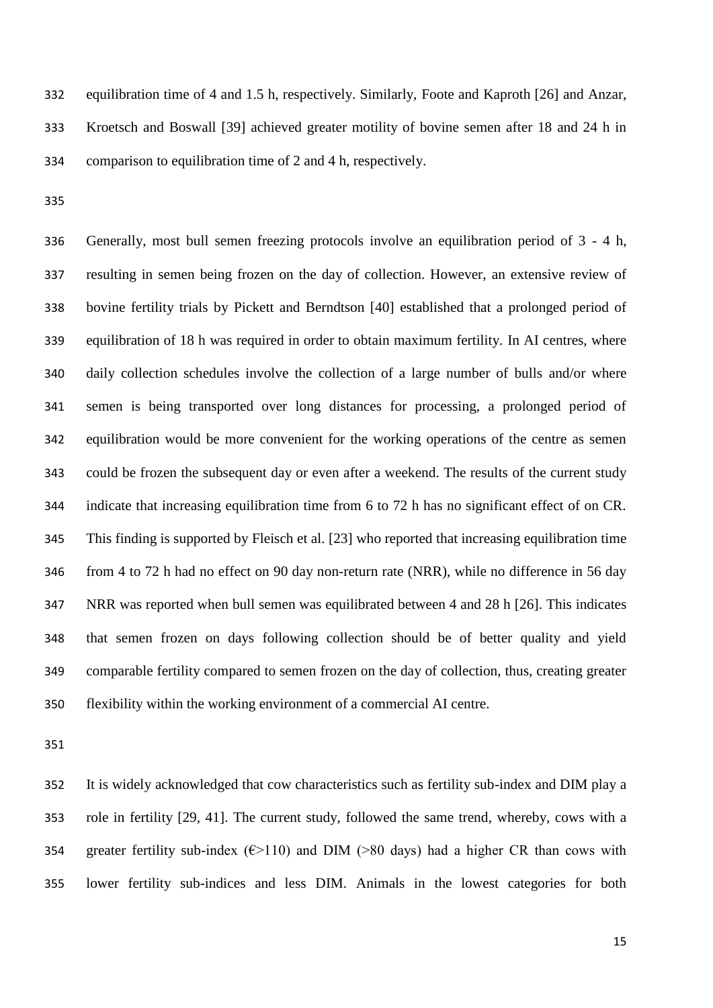equilibration time of 4 and 1.5 h, respectively. Similarly, Foote and Kaproth [26] and Anzar, Kroetsch and Boswall [39] achieved greater motility of bovine semen after 18 and 24 h in comparison to equilibration time of 2 and 4 h, respectively.

 Generally, most bull semen freezing protocols involve an equilibration period of 3 - 4 h, resulting in semen being frozen on the day of collection. However, an extensive review of bovine fertility trials by Pickett and Berndtson [40] established that a prolonged period of equilibration of 18 h was required in order to obtain maximum fertility. In AI centres, where daily collection schedules involve the collection of a large number of bulls and/or where semen is being transported over long distances for processing, a prolonged period of equilibration would be more convenient for the working operations of the centre as semen could be frozen the subsequent day or even after a weekend. The results of the current study indicate that increasing equilibration time from 6 to 72 h has no significant effect of on CR. This finding is supported by Fleisch et al. [23] who reported that increasing equilibration time from 4 to 72 h had no effect on 90 day non-return rate (NRR), while no difference in 56 day NRR was reported when bull semen was equilibrated between 4 and 28 h [26]. This indicates that semen frozen on days following collection should be of better quality and yield comparable fertility compared to semen frozen on the day of collection, thus, creating greater flexibility within the working environment of a commercial AI centre.

 It is widely acknowledged that cow characteristics such as fertility sub-index and DIM play a role in fertility [29, 41]. The current study, followed the same trend, whereby, cows with a 354 greater fertility sub-index  $(\epsilon > 110)$  and DIM (>80 days) had a higher CR than cows with lower fertility sub-indices and less DIM. Animals in the lowest categories for both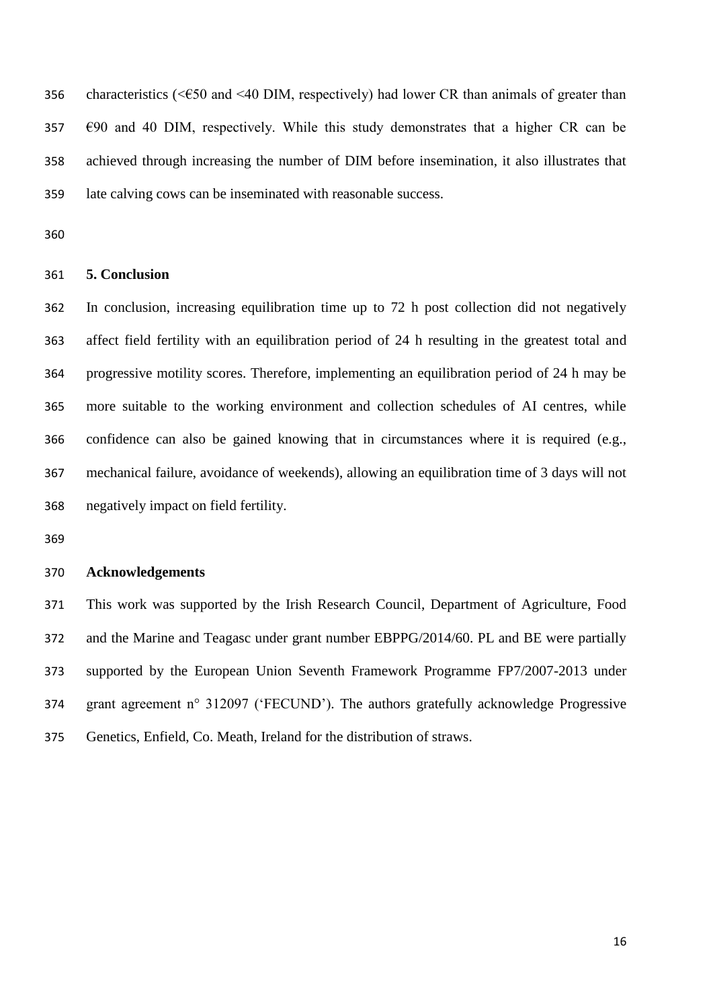356 characteristics ( $\leq 50$  and  $\leq 40$  DIM, respectively) had lower CR than animals of greater than  $690$  and 40 DIM, respectively. While this study demonstrates that a higher CR can be achieved through increasing the number of DIM before insemination, it also illustrates that late calving cows can be inseminated with reasonable success.

## **5. Conclusion**

 In conclusion, increasing equilibration time up to 72 h post collection did not negatively affect field fertility with an equilibration period of 24 h resulting in the greatest total and progressive motility scores. Therefore, implementing an equilibration period of 24 h may be more suitable to the working environment and collection schedules of AI centres, while confidence can also be gained knowing that in circumstances where it is required (e.g., mechanical failure, avoidance of weekends), allowing an equilibration time of 3 days will not negatively impact on field fertility.

# **Acknowledgements**

 This work was supported by the Irish Research Council, Department of Agriculture, Food and the Marine and Teagasc under grant number EBPPG/2014/60. PL and BE were partially supported by the European Union Seventh Framework Programme FP7/2007-2013 under grant agreement n° 312097 ('FECUND'). The authors gratefully acknowledge Progressive Genetics, Enfield, Co. Meath, Ireland for the distribution of straws.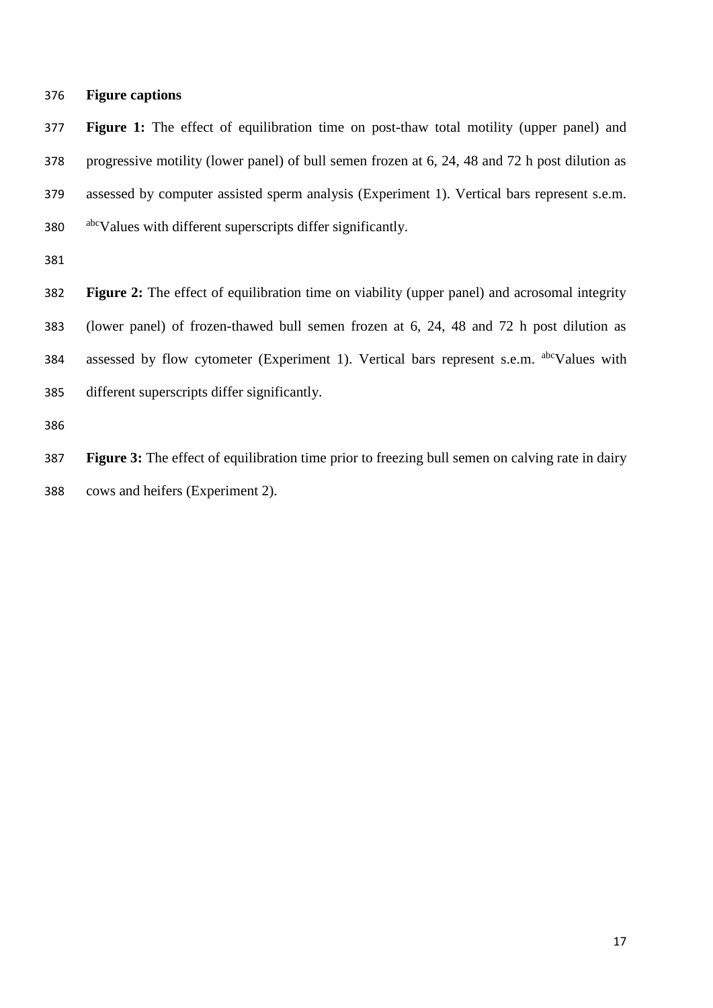# **Figure captions**

 **Figure 1:** The effect of equilibration time on post-thaw total motility (upper panel) and progressive motility (lower panel) of bull semen frozen at 6, 24, 48 and 72 h post dilution as assessed by computer assisted sperm analysis (Experiment 1). Vertical bars represent s.e.m. <sup>abc</sup>Values with different superscripts differ significantly.

 **Figure 2:** The effect of equilibration time on viability (upper panel) and acrosomal integrity (lower panel) of frozen-thawed bull semen frozen at 6, 24, 48 and 72 h post dilution as 384 assessed by flow cytometer (Experiment 1). Vertical bars represent s.e.m. abcValues with different superscripts differ significantly.

 **Figure 3:** The effect of equilibration time prior to freezing bull semen on calving rate in dairy cows and heifers (Experiment 2).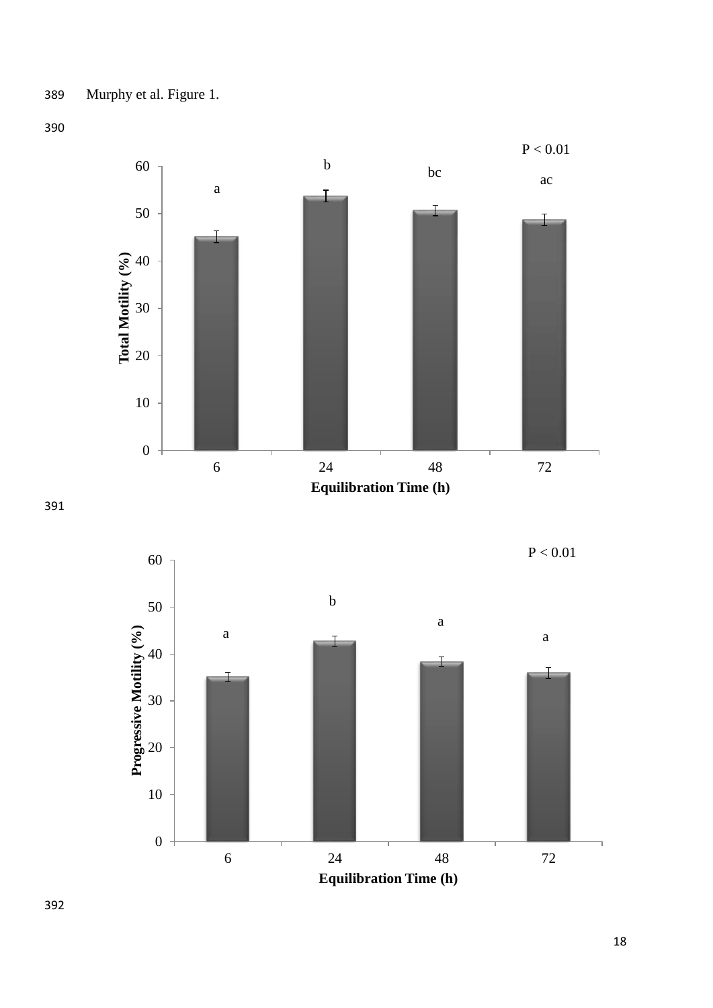

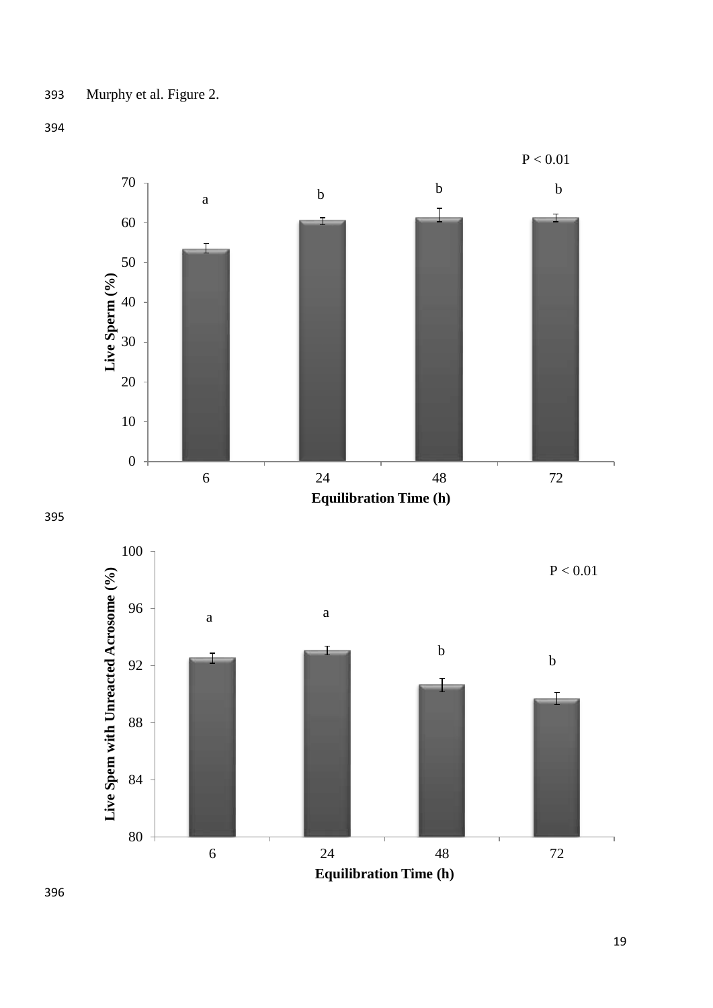394



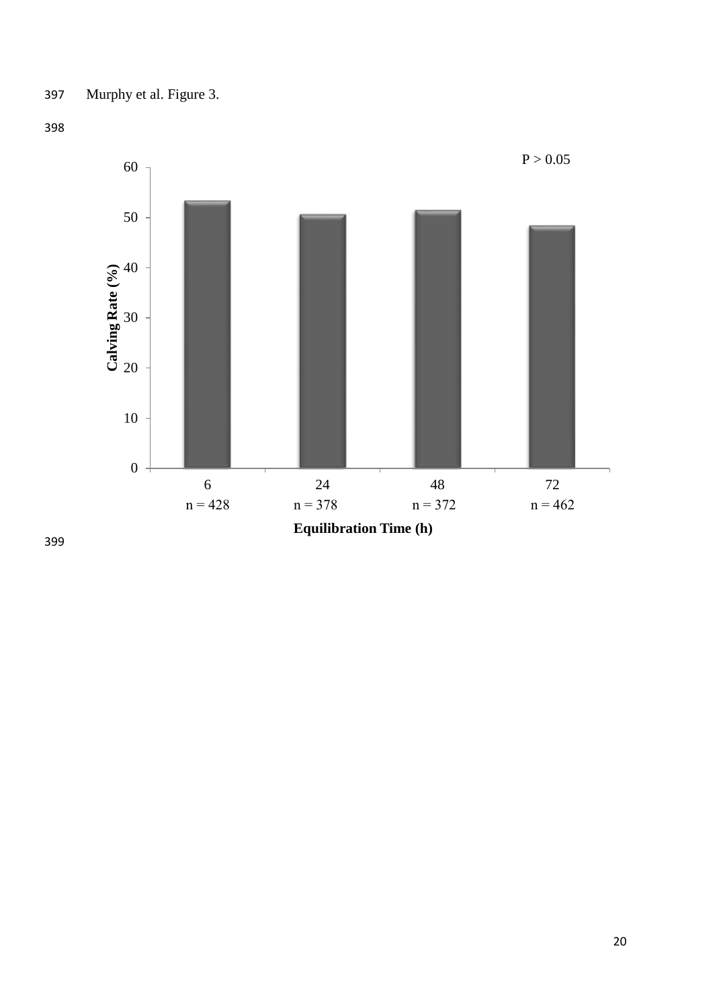

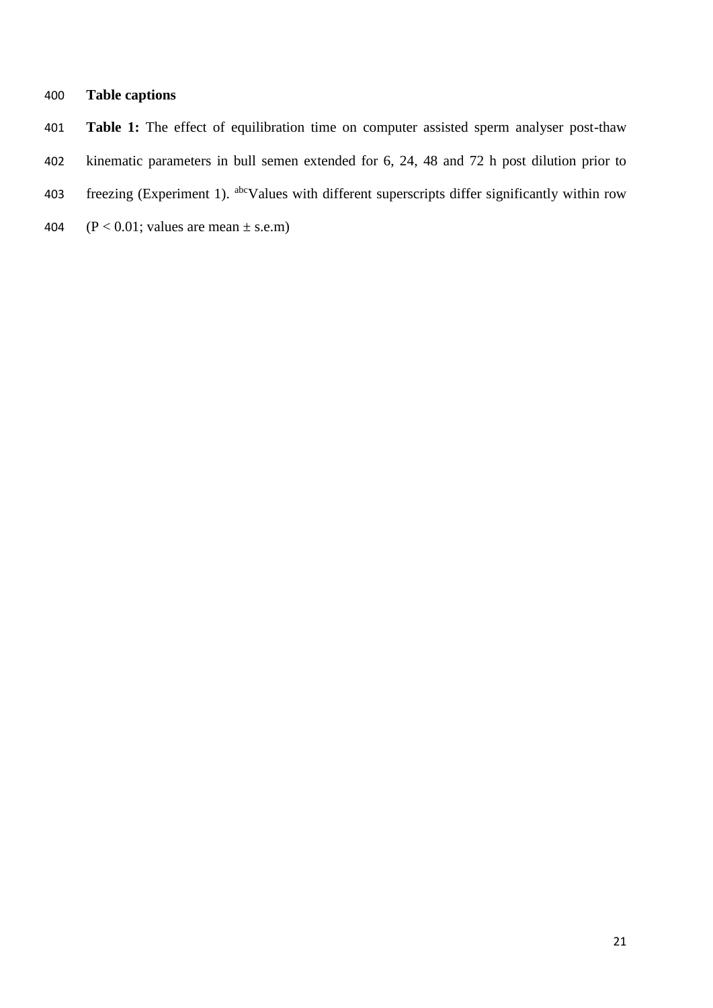# **Table captions**

- **Table 1:** The effect of equilibration time on computer assisted sperm analyser post-thaw
- kinematic parameters in bull semen extended for 6, 24, 48 and 72 h post dilution prior to
- 403 freezing (Experiment 1). abcValues with different superscripts differ significantly within row
- 404 ( $P < 0.01$ ; values are mean  $\pm$  s.e.m)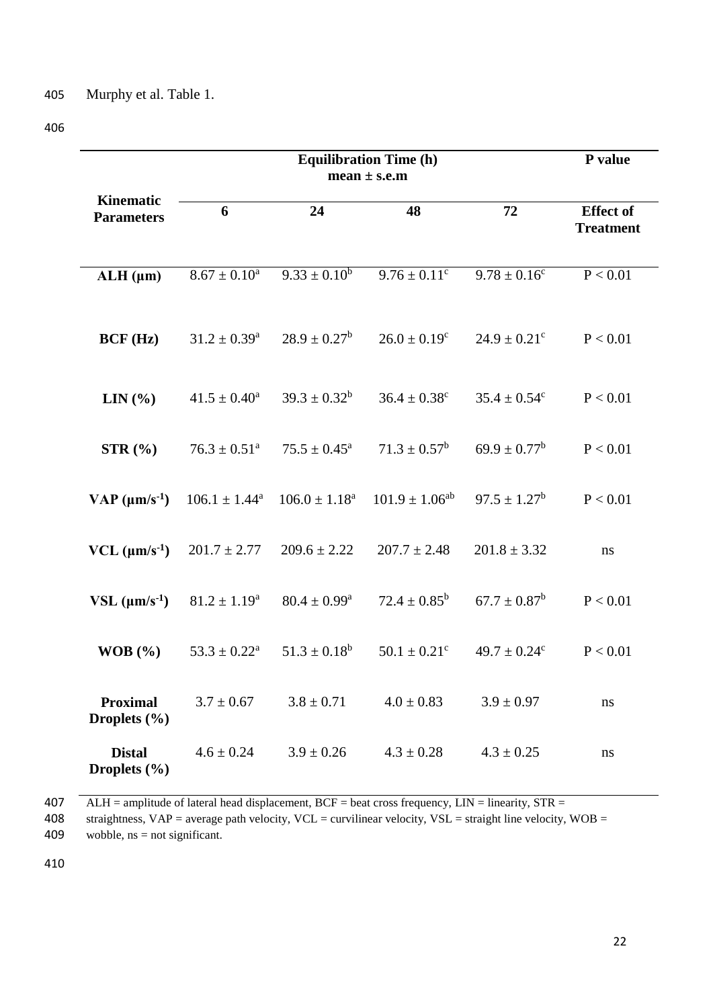| ł<br>×<br>۰. | v<br>. .<br>I<br>×<br>۰, |
|--------------|--------------------------|
|--------------|--------------------------|

|                                       |                            | P value                    |                              |                         |                                      |
|---------------------------------------|----------------------------|----------------------------|------------------------------|-------------------------|--------------------------------------|
| <b>Kinematic</b><br><b>Parameters</b> | 6                          | 24                         | 48                           | 72                      | <b>Effect of</b><br><b>Treatment</b> |
| $ALH$ ( $\mu$ m)                      | $8.67 \pm 0.10^a$          | $9.33 \pm 0.10^b$          | $9.76 \pm 0.11$ <sup>c</sup> | $9.78 \pm 0.16^c$       | P < 0.01                             |
| BCF(Hz)                               | $31.2 \pm 0.39^a$          | $28.9 \pm 0.27^b$          | $26.0 \pm 0.19^c$            | $24.9 \pm 0.21^{\circ}$ | P < 0.01                             |
| LIN (%)                               | $41.5 \pm 0.40^a$          | $39.3 \pm 0.32^b$          | $36.4 \pm 0.38^{\circ}$      | $35.4 \pm 0.54^c$       | P < 0.01                             |
| STR(%)                                | $76.3 \pm 0.51^{\text{a}}$ | $75.5 \pm 0.45^{\text{a}}$ | $71.3 \pm 0.57^b$            | $69.9 \pm 0.77^b$       | P < 0.01                             |
| $VAP$ ( $\mu$ m/s <sup>-1</sup> )     | $106.1 \pm 1.44^a$         | $106.0 \pm 1.18^a$         | $101.9 \pm 1.06^{ab}$        | $97.5 \pm 1.27^b$       | P < 0.01                             |
| $VCL$ ( $\mu$ m/s <sup>-1</sup> )     | $201.7 \pm 2.77$           | $209.6 \pm 2.22$           | $207.7 \pm 2.48$             | $201.8 \pm 3.32$        | <sub>ns</sub>                        |
| $VSL$ ( $\mu$ m/s <sup>-1</sup> )     | $81.2 \pm 1.19^a$          | $80.4 \pm 0.99^{\rm a}$    | $72.4 \pm 0.85^b$            | $67.7 \pm 0.87^b$       | P < 0.01                             |
| WOB $(\% )$                           | $53.3 \pm 0.22^{\rm a}$    | $51.3 \pm 0.18^b$          | $50.1 \pm 0.21^{\circ}$      | $49.7 \pm 0.24^c$       | P < 0.01                             |
| <b>Proximal</b><br>Droplets (%)       | $3.7 \pm 0.67$             | $3.8 \pm 0.71$             | $4.0 \pm 0.83$               | $3.9 \pm 0.97$          | ns                                   |
| <b>Distal</b><br>Droplets $(\% )$     | $4.6 \pm 0.24$             | $3.9 \pm 0.26$             | $4.3 \pm 0.28$               | $4.3 \pm 0.25$          | ns                                   |

 $407$  ALH = amplitude of lateral head displacement, BCF = beat cross frequency, LIN = linearity, STR =

408 straightness,  $VAP = average$  path velocity,  $VCL = curvilinear$  velocity,  $VSL = straight$  line velocity,  $WOB = 409$  wobble, ns = not significant.

wobble,  $ns = not significant$ .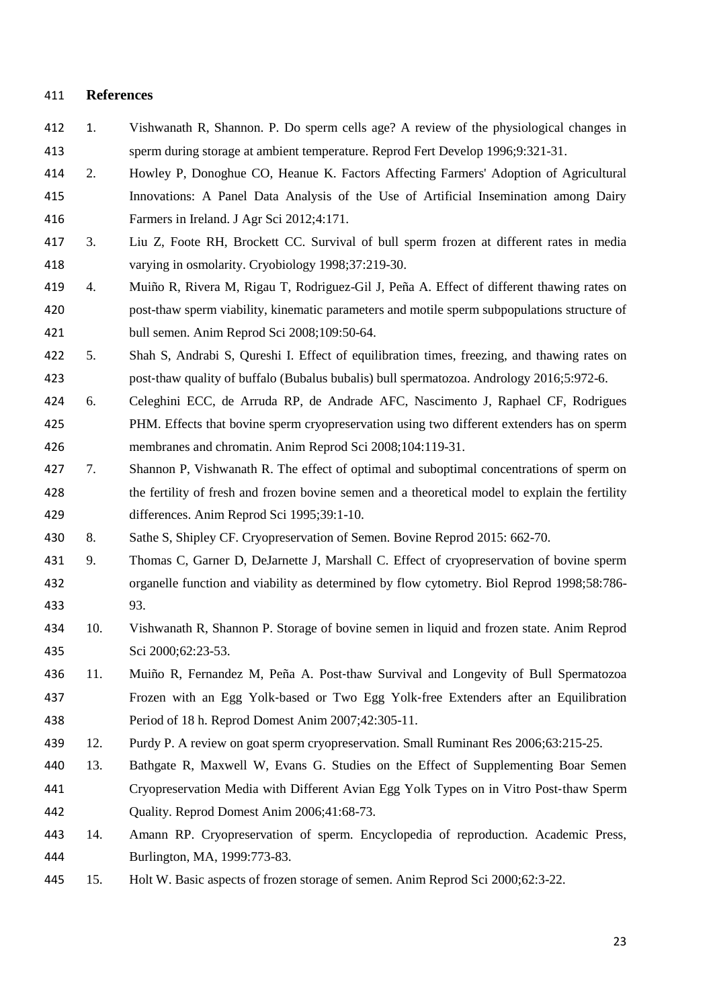#### **References**

- 1. Vishwanath R, Shannon. P. Do sperm cells age? A review of the physiological changes in sperm during storage at ambient temperature. Reprod Fert Develop 1996;9:321-31.
- 2. Howley P, Donoghue CO, Heanue K. Factors Affecting Farmers' Adoption of Agricultural Innovations: A Panel Data Analysis of the Use of Artificial Insemination among Dairy Farmers in Ireland. J Agr Sci 2012;4:171.
- 3. Liu Z, Foote RH, Brockett CC. Survival of bull sperm frozen at different rates in media varying in osmolarity. Cryobiology 1998;37:219-30.
- 4. Muiño R, Rivera M, Rigau T, Rodriguez-Gil J, Peña A. Effect of different thawing rates on post-thaw sperm viability, kinematic parameters and motile sperm subpopulations structure of bull semen. Anim Reprod Sci 2008;109:50-64.
- 5. Shah S, Andrabi S, Qureshi I. Effect of equilibration times, freezing, and thawing rates on post‐thaw quality of buffalo (Bubalus bubalis) bull spermatozoa. Andrology 2016;5:972-6.
- 6. Celeghini ECC, de Arruda RP, de Andrade AFC, Nascimento J, Raphael CF, Rodrigues PHM. Effects that bovine sperm cryopreservation using two different extenders has on sperm membranes and chromatin. Anim Reprod Sci 2008;104:119-31.
- 427 7. Shannon P, Vishwanath R. The effect of optimal and suboptimal concentrations of sperm on the fertility of fresh and frozen bovine semen and a theoretical model to explain the fertility differences. Anim Reprod Sci 1995;39:1-10.
- 8. Sathe S, Shipley CF. Cryopreservation of Semen. Bovine Reprod 2015: 662-70.
- 9. Thomas C, Garner D, DeJarnette J, Marshall C. Effect of cryopreservation of bovine sperm organelle function and viability as determined by flow cytometry. Biol Reprod 1998;58:786- 93.
- 10. Vishwanath R, Shannon P. Storage of bovine semen in liquid and frozen state. Anim Reprod Sci 2000;62:23-53.
- 436 11. Muiño R, Fernandez M, Peña A. Post-thaw Survival and Longevity of Bull Spermatozoa Frozen with an Egg Yolk‐based or Two Egg Yolk‐free Extenders after an Equilibration Period of 18 h. Reprod Domest Anim 2007;42:305-11.
- 12. Purdy P. A review on goat sperm cryopreservation. Small Ruminant Res 2006;63:215-25.
- 13. Bathgate R, Maxwell W, Evans G. Studies on the Effect of Supplementing Boar Semen Cryopreservation Media with Different Avian Egg Yolk Types on in Vitro Post‐thaw Sperm Quality. Reprod Domest Anim 2006;41:68-73.
- 14. Amann RP. Cryopreservation of sperm. Encyclopedia of reproduction. Academic Press, Burlington, MA, 1999:773-83.
- 15. Holt W. Basic aspects of frozen storage of semen. Anim Reprod Sci 2000;62:3-22.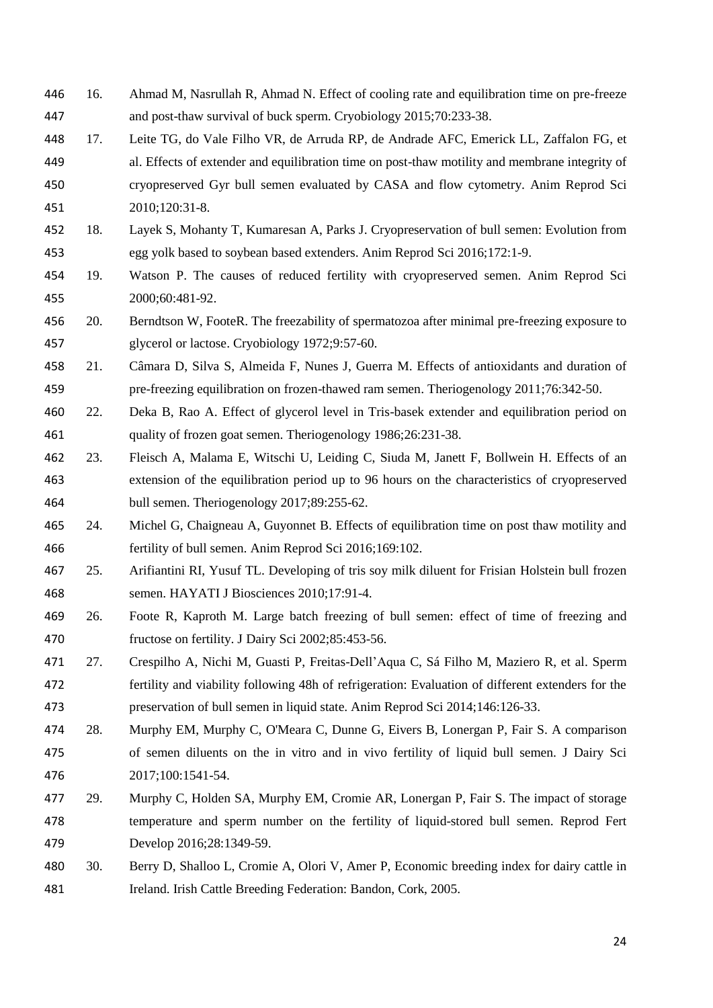- 16. Ahmad M, Nasrullah R, Ahmad N. Effect of cooling rate and equilibration time on pre-freeze and post-thaw survival of buck sperm. Cryobiology 2015;70:233-38.
- 17. Leite TG, do Vale Filho VR, de Arruda RP, de Andrade AFC, Emerick LL, Zaffalon FG, et al. Effects of extender and equilibration time on post-thaw motility and membrane integrity of cryopreserved Gyr bull semen evaluated by CASA and flow cytometry. Anim Reprod Sci 2010;120:31-8.
- 18. Layek S, Mohanty T, Kumaresan A, Parks J. Cryopreservation of bull semen: Evolution from egg yolk based to soybean based extenders. Anim Reprod Sci 2016;172:1-9.
- 19. Watson P. The causes of reduced fertility with cryopreserved semen. Anim Reprod Sci 2000;60:481-92.
- 20. Berndtson W, FooteR. The freezability of spermatozoa after minimal pre-freezing exposure to glycerol or lactose. Cryobiology 1972;9:57-60.
- 21. Câmara D, Silva S, Almeida F, Nunes J, Guerra M. Effects of antioxidants and duration of pre-freezing equilibration on frozen-thawed ram semen. Theriogenology 2011;76:342-50.
- 22. Deka B, Rao A. Effect of glycerol level in Tris-basek extender and equilibration period on quality of frozen goat semen. Theriogenology 1986;26:231-38.
- 23. Fleisch A, Malama E, Witschi U, Leiding C, Siuda M, Janett F, Bollwein H. Effects of an extension of the equilibration period up to 96 hours on the characteristics of cryopreserved bull semen. Theriogenology 2017;89:255-62.
- 24. Michel G, Chaigneau A, Guyonnet B. Effects of equilibration time on post thaw motility and fertility of bull semen. Anim Reprod Sci 2016;169:102.
- 25. Arifiantini RI, Yusuf TL. Developing of tris soy milk diluent for Frisian Holstein bull frozen semen. HAYATI J Biosciences 2010;17:91-4.
- 26. Foote R, Kaproth M. Large batch freezing of bull semen: effect of time of freezing and fructose on fertility. J Dairy Sci 2002;85:453-56.
- 27. Crespilho A, Nichi M, Guasti P, Freitas-Dell'Aqua C, Sá Filho M, Maziero R, et al. Sperm fertility and viability following 48h of refrigeration: Evaluation of different extenders for the preservation of bull semen in liquid state. Anim Reprod Sci 2014;146:126-33.
- 28. Murphy EM, Murphy C, O'Meara C, Dunne G, Eivers B, Lonergan P, Fair S. A comparison of semen diluents on the in vitro and in vivo fertility of liquid bull semen. J Dairy Sci 2017;100:1541-54.
- 29. Murphy C, Holden SA, Murphy EM, Cromie AR, Lonergan P, Fair S. The impact of storage temperature and sperm number on the fertility of liquid-stored bull semen. Reprod Fert Develop 2016;28:1349-59.
- 30. Berry D, Shalloo L, Cromie A, Olori V, Amer P, Economic breeding index for dairy cattle in Ireland. Irish Cattle Breeding Federation: Bandon, Cork, 2005.